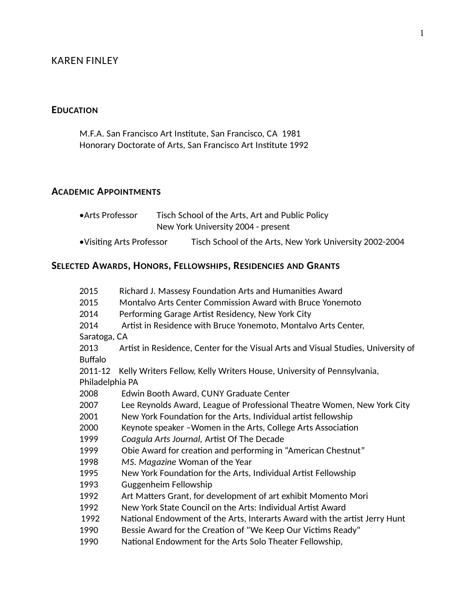### KAREN FINLEY

#### **EDUCATION**

M.F.A. San Francisco Art Insttute, San Francisco, CA 1981 Honorary Doctorate of Arts, San Francisco Art Institute 1992

**SELECTED AWARDS, HONORS, FELLOWSHIPS, RESIDENCIES AND GRANTS**

#### **ACADEMIC APPOINTMENTS**

| •Arts Professor           |                                    | Tisch School of the Arts, Art and Public Policy         |
|---------------------------|------------------------------------|---------------------------------------------------------|
|                           | New York University 2004 - present |                                                         |
| • Visiting Arts Professor |                                    | Tisch School of the Arts, New York University 2002-2004 |

| 2015<br>2015    | Richard J. Massesy Foundation Arts and Humanities Award<br>Montalvo Arts Center Commission Award with Bruce Yonemoto |  |
|-----------------|----------------------------------------------------------------------------------------------------------------------|--|
| 2014            | Performing Garage Artist Residency, New York City                                                                    |  |
| 2014            | Artist in Residence with Bruce Yonemoto, Montalvo Arts Center,                                                       |  |
| Saratoga, CA    |                                                                                                                      |  |
| 2013            | Artist in Residence, Center for the Visual Arts and Visual Studies, University of                                    |  |
| <b>Buffalo</b>  |                                                                                                                      |  |
| 2011-12         | Kelly Writers Fellow, Kelly Writers House, University of Pennsylvania,                                               |  |
| Philadelphia PA |                                                                                                                      |  |
| 2008            | Edwin Booth Award, CUNY Graduate Center                                                                              |  |
| 2007            | Lee Reynolds Award, League of Professional Theatre Women, New York City                                              |  |
| 2001            | New York Foundation for the Arts, Individual artist fellowship                                                       |  |
| 2000            | Keynote speaker - Women in the Arts, College Arts Association                                                        |  |
| 1999            | Coagula Arts Journal, Artist Of The Decade                                                                           |  |
| 1999            | Obie Award for creation and performing in "American Chestnut"                                                        |  |
| 1998            | MS. Magazine Woman of the Year                                                                                       |  |
| 1995            | New York Foundation for the Arts, Individual Artist Fellowship                                                       |  |
| 1993            | Guggenheim Fellowship                                                                                                |  |
| 1992            | Art Matters Grant, for development of art exhibit Momento Mori                                                       |  |
| 1992            | New York State Council on the Arts: Individual Artist Award                                                          |  |
| 1992            | National Endowment of the Arts, Interarts Award with the artist Jerry Hunt                                           |  |
| 1990            | Bessie Award for the Creation of "We Keep Our Victims Ready"                                                         |  |
| 1990            | National Endowment for the Arts Solo Theater Fellowship,                                                             |  |
|                 |                                                                                                                      |  |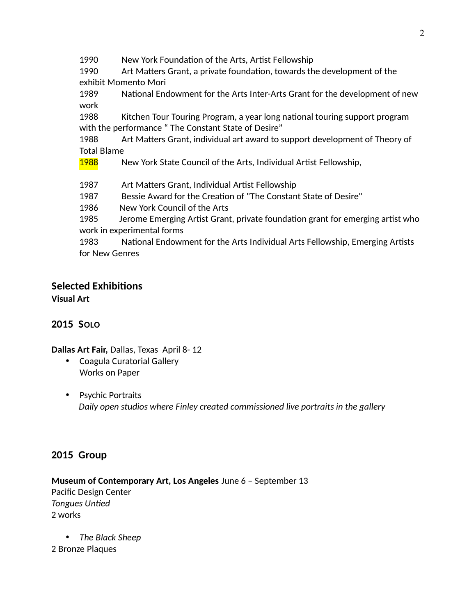1990 New York Foundation of the Arts, Artist Fellowship

1990 Art Maters Grant, a private foundaton, towards the development of the exhibit Momento Mori

1989 National Endowment for the Arts Inter-Arts Grant for the development of new work

1988 Kitchen Tour Touring Program, a year long national touring support program with the performance " The Constant State of Desire"

1988 Art Matters Grant, individual art award to support development of Theory of Total Blame

1988 New York State Council of the Arts, Individual Artist Fellowship,

1987 Art Matters Grant, Individual Artist Fellowship

1987 Bessie Award for the Creation of "The Constant State of Desire"

1986 New York Council of the Arts

1985 Jerome Emerging Artst Grant, private foundaton grant for emerging artst who work in experimental forms

1983 National Endowment for the Arts Individual Arts Fellowship, Emerging Artists for New Genres

# **Selected Exhibitons**

**Visual Art**

### **2015 SOLO**

**Dallas Art Fair,** Dallas, Texas April 8- 12

- Coagula Curatorial Gallery Works on Paper
- Psychic Portraits *Daily open studios where Finley created commissioned live portraits in the gallery*

### **2015 Group**

**Museum of Contemporary Art, Los Angeles** June 6 – September 13 Pacific Design Center *Tongues Unted* 2 works

 *The Black Sheep* 2 Bronze Plaques

2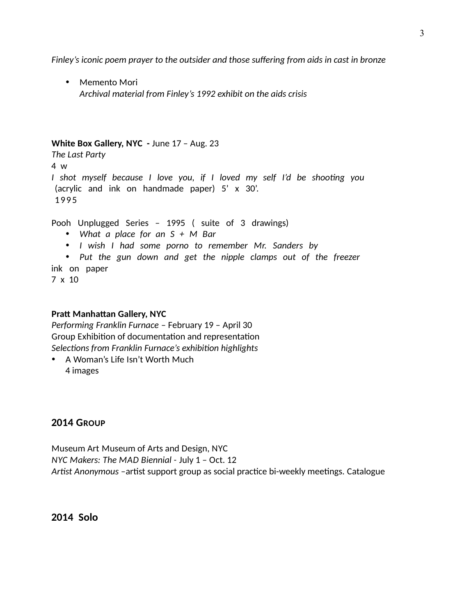*Finley's iconic poem prayer to the outsider and those sufering from aids in cast in bronze*

• Memento Mori *Archival material from Finley's 1992 exhibit on the aids crisis* 

#### **White Box Gallery, NYC -** June 17 – Aug. 23

*The Last Party* 4 w *I shot myself because I love you, if I loved my self I'd be shootng you* (acrylic and ink on handmade paper) 5' x 30'. 199 5

Pooh Unplugged Series – 1995 ( suite of 3 drawings)

- *What a place for an S + M Bar*
- *I wish I had some porno to remember Mr. Sanders by*
- *Put the gun down and get the nipple clamps out of the freezer*

ink on paper

7 x 10

#### **Pratt Manhattan Gallery, NYC**

*Performing Franklin Furnace* – February 19 – April 30 Group Exhibition of documentation and representation *Selectons from Franklin Furnace's exhibiton highlights* 

• A Woman's Life Isn't Worth Much 4 images

#### **2014 GROUP**

Museum Art Museum of Arts and Design, NYC *NYC Makers: The MAD Biennial -* July 1 – Oct. 12 Artist Anonymous -artist support group as social practice bi-weekly meetings. Catalogue

#### **2014 Solo**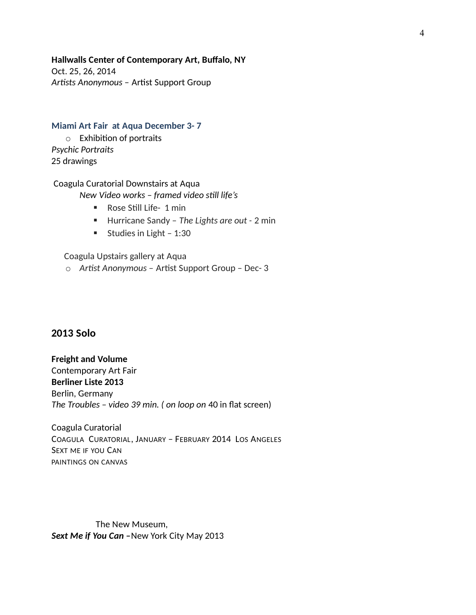**Hallwalls Center of Contemporary Art, Bufalo, NY**

Oct. 25, 26, 2014 Artists Anonymous - Artist Support Group

#### **Miami Art Fair at Aqua December 3- 7**

 $\circ$  Exhibition of portraits *Psychic Portraits* 25 drawings

#### Coagula Curatorial Downstairs at Aqua *New Video works – framed video stll life's*

- **Rose Still Life- 1 min**
- Hurricane Sandy The Lights are out 2 min
- Studies in Light  $1:30$

Coagula Upstairs gallery at Aqua

o *Artst Anonymous –* Artst Support Group – Dec- 3

#### **2013 Solo**

**Freight and Volume** Contemporary Art Fair **Berliner Liste 2013** Berlin, Germany *The Troubles – video 39 min. ( on loop on* 40 in fat screen)

Coagula Curatorial COAGULA CURATORIAL, JANUARY – FEBRUARY 2014 LOS ANGELES SEXT ME IF YOU CAN PAINTINGS ON CANVAS

The New Museum, *Sext Me if You Can –*New York City May 2013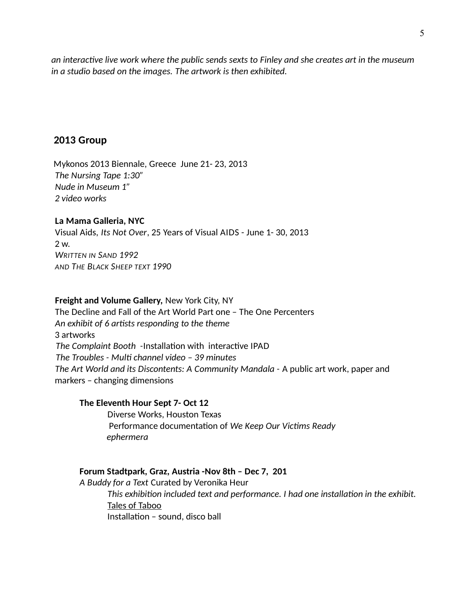an interactive live work where the public sends sexts to Finley and she creates art in the museum *in a studio based on the images. The artwork is then exhibited.* 

#### **2013 Group**

Mykonos 2013 Biennale, Greece June 21- 23, 2013 *The Nursing Tape 1:30" Nude in Museum 1" 2 video works* 

#### **La Mama Galleria, NYC**

Visual Aids, *Its Not Over*, 25 Years of Visual AIDS - June 1- 30, 2013 2 w. *WRITTEN IN SAND 1992 AND THE BLACK SHEEP TEXT 1990*

#### **Freight and Volume Gallery,** New York City, NY

The Decline and Fall of the Art World Part one – The One Percenters *An exhibit of 6 artsts responding to the theme* 3 artworks The Complaint Booth -Installation with interactive IPAD  *The Troubles - Mult channel video – 39 minutes The Art World and its Discontents: A Community Mandala -* A public art work, paper and markers – changing dimensions

#### **The Eleventh Hour Sept 7- Oct 12**

Diverse Works, Houston Texas Performance documentaton of *We Keep Our Victms Ready ephermera*

#### **Forum Stadtpark, Graz, Austria -Nov 8th – Dec 7, 201**

*A Buddy for a Text* Curated by Veronika Heur *This exhibiton included text and performance. I had one installaton in the exhibit.* Tales of Taboo Installation - sound, disco ball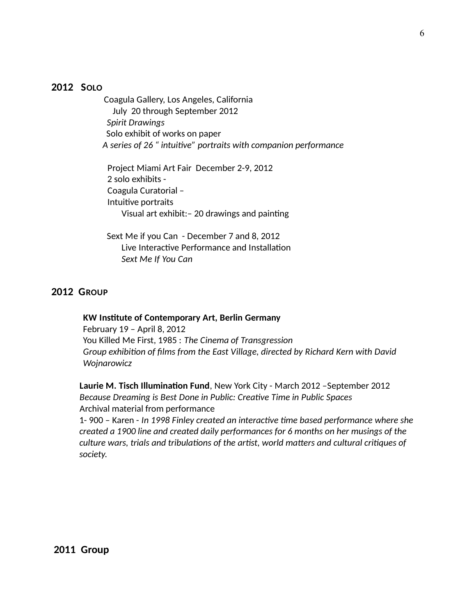#### **2012 SOLO**

Coagula Gallery, Los Angeles, California July 20 through September 2012  *Spirit Drawings* Solo exhibit of works on paper *A series of 26 " intuitve" portraits with companion performance*

Project Miami Art Fair December 2-9, 2012 2 solo exhibits - Coagula Curatorial – Intuitve portraits Visual art exhibit:– 20 drawings and paintng

 Sext Me if you Can - December 7 and 8, 2012 Live Interactive Performance and Installation *Sext Me If You Can*

#### **2012 GROUP**

 **KW Insttute of Contemporary Art, Berlin Germany** February 19 – April 8, 2012 You Killed Me First, 1985 : *The Cinema of Transgression Group exhibiton of flms from the East Village, directed by Richard Kern with David Wojnarowicz*

Laurie M. Tisch Illumination Fund, New York City - March 2012 - September 2012 *Because Dreaming is Best Done in Public: Creatve Time in Public Spaces* Archival material from performance 1- 900 – Karen - *In 1998 Finley created an interactve tme based performance where she created a 1900 line and created daily performances for 6 months on her musings of the culture wars, trials and tribulatons of the artst, world maters and cultural critques of* 

*society.*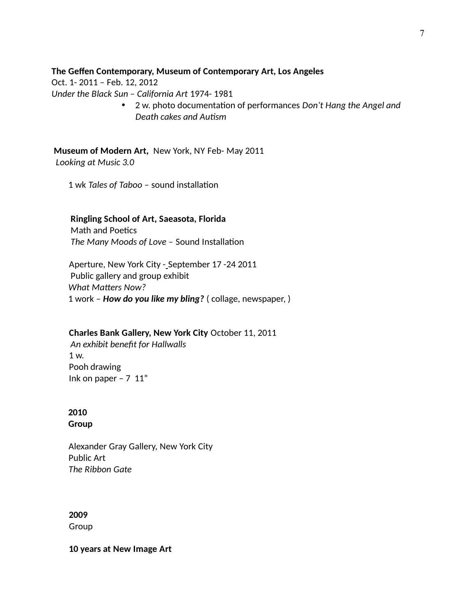#### **The Gefen Contemporary, Museum of Contemporary Art, Los Angeles**

Oct. 1- 2011 – Feb. 12, 2012

*Under the Black Sun – California Art* 1974- 1981

 2 w. photo documentaton of performances *Don't Hang the Angel and Death cakes and Autsm*

 **Museum of Modern Art,** New York, NY Feb- May 2011 *Looking at Music 3.0*

1 wk *Tales of Taboo –* sound installaton

#### **Ringling School of Art, Saeasota, Florida**

Math and Poetics The Many Moods of Love - Sound Installation

Aperture, New York City - September 17 -24 2011 Public gallery and group exhibit  *What Maters Now?* 1 work – *How do you like my bling?* ( collage, newspaper, )

#### **Charles Bank Gallery, New York City** October 11, 2011

*An exhibit beneft for Hallwalls*  1 w. Pooh drawing Ink on paper  $-7$  11"

## **2010**

 **Group**

 Alexander Gray Gallery, New York City Public Art *The Ribbon Gate*

### **2009**

Group

**10 years at New Image Art**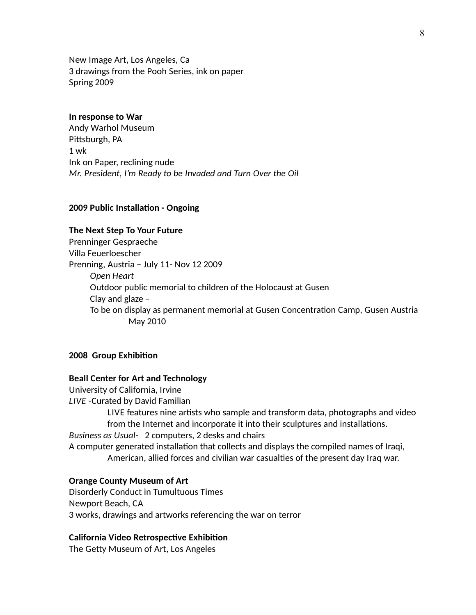New Image Art, Los Angeles, Ca 3 drawings from the Pooh Series, ink on paper Spring 2009

#### **In response to War**

Andy Warhol Museum Pitsburgh, PA 1 wk Ink on Paper, reclining nude *Mr. President, I'm Ready to be Invaded and Turn Over the Oil*

#### **2009 Public Installation - Ongoing**

#### **The Next Step To Your Future**

Prenninger Gespraeche Villa Feuerloescher Prenning, Austria – July 11- Nov 12 2009 *Open Heart* Outdoor public memorial to children of the Holocaust at Gusen Clay and glaze – To be on display as permanent memorial at Gusen Concentraton Camp, Gusen Austria May 2010

#### **2008 Group Exhibiton**

#### **Beall Center for Art and Technology**

University of California, Irvine *LIVE -*Curated by David Familian LIVE features nine artists who sample and transform data, photographs and video from the Internet and incorporate it into their sculptures and installatons. *Business as Usual-* 2 computers, 2 desks and chairs A computer generated installaton that collects and displays the compiled names of Iraqi, American, allied forces and civilian war casualtes of the present day Iraq war.

#### **Orange County Museum of Art**

Disorderly Conduct in Tumultuous Times Newport Beach, CA 3 works, drawings and artworks referencing the war on terror

#### **California Video Retrospective Exhibition**

The Gety Museum of Art, Los Angeles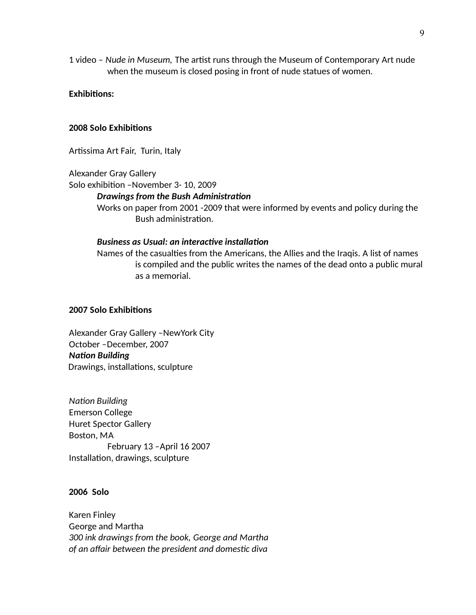1 video - Nude in Museum, The artist runs through the Museum of Contemporary Art nude when the museum is closed posing in front of nude statues of women.

#### **Exhibitons:**

#### **2008 Solo Exhibitons**

Artissima Art Fair, Turin, Italy

Alexander Gray Gallery

Solo exhibiton –November 3- 10, 2009

#### *Drawings from the Bush Administraton*

Works on paper from 2001 -2009 that were informed by events and policy during the Bush administration.

#### **Business as Usual: an interactive installation**

Names of the casualtes from the Americans, the Allies and the Iraqis. A list of names is compiled and the public writes the names of the dead onto a public mural as a memorial.

#### **2007 Solo Exhibitons**

Alexander Gray Gallery –NewYork City October –December, 2007 *Naton Building* Drawings, installations, sculpture

*Naton Building*  Emerson College Huret Spector Gallery Boston, MA February 13 –April 16 2007 Installation, drawings, sculpture

#### **2006 Solo**

Karen Finley George and Martha *300 ink drawings from the book, George and Martha of an afair between the president and domestc diva*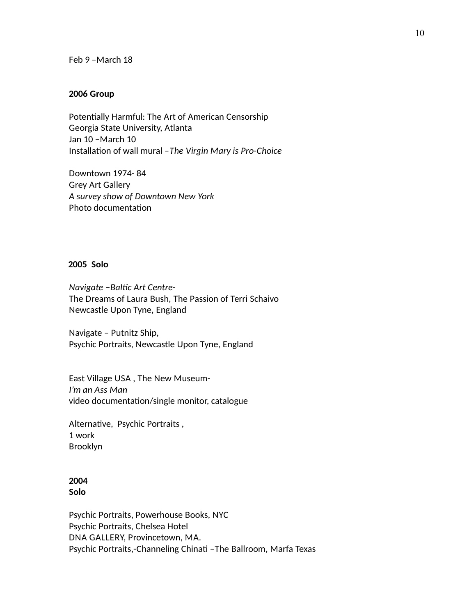Feb 9 –March 18

#### **2006 Group**

Potentially Harmful: The Art of American Censorship Georgia State University, Atlanta Jan 10 –March 10 Installaton of wall mural –*The Virgin Mary is Pro-Choice*

Downtown 1974- 84 Grey Art Gallery *A survey show of Downtown New York*  Photo documentation

#### **2005 Solo**

*Navigate - Baltic Art Centre-*The Dreams of Laura Bush, The Passion of Terri Schaivo Newcastle Upon Tyne, England

Navigate – Putnitz Ship, Psychic Portraits, Newcastle Upon Tyne, England

East Village USA , The New Museum-*I'm an Ass Man* video documentation/single monitor, catalogue

Alternative, Psychic Portraits, 1 work Brooklyn

#### **2004 Solo**

Psychic Portraits, Powerhouse Books, NYC Psychic Portraits, Chelsea Hotel DNA GALLERY, Provincetown, MA. Psychic Portraits,-Channeling Chinati -The Ballroom, Marfa Texas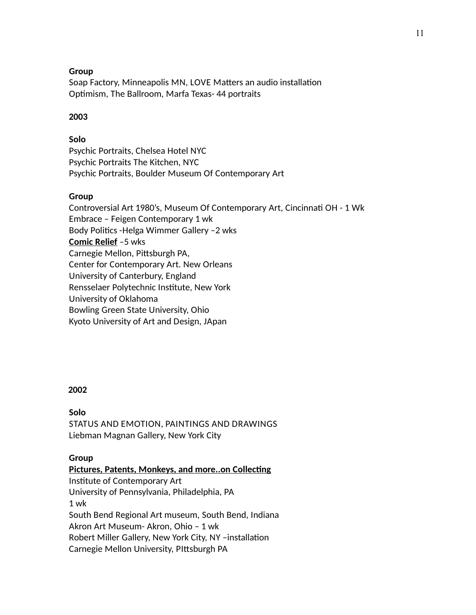#### **Group**

Soap Factory, Minneapolis MN, LOVE Matters an audio installation Optimism, The Ballroom, Marfa Texas- 44 portraits

#### **2003**

#### **Solo**

Psychic Portraits, Chelsea Hotel NYC Psychic Portraits The Kitchen, NYC Psychic Portraits, Boulder Museum Of Contemporary Art

#### **Group**

Controversial Art 1980's, Museum Of Contemporary Art, Cincinnat OH - 1 Wk Embrace – Feigen Contemporary 1 wk Body Politics - Helga Wimmer Gallery - 2 wks **Comic Relief** –5 wks Carnegie Mellon, Pitsburgh PA, Center for Contemporary Art. New Orleans University of Canterbury, England Rensselaer Polytechnic Insttute, New York University of Oklahoma Bowling Green State University, Ohio Kyoto University of Art and Design, JApan

#### **2002**

#### **Solo**

STATUS AND EMOTION, PAINTINGS AND DRAWINGS Liebman Magnan Gallery, New York City

#### **Group**

**Pictures, Patents, Monkeys, and more..on Collecting** Institute of Contemporary Art University of Pennsylvania, Philadelphia, PA 1 wk South Bend Regional Art museum, South Bend, Indiana Akron Art Museum- Akron, Ohio – 1 wk Robert Miller Gallery, New York City, NY –installaton Carnegie Mellon University, PItsburgh PA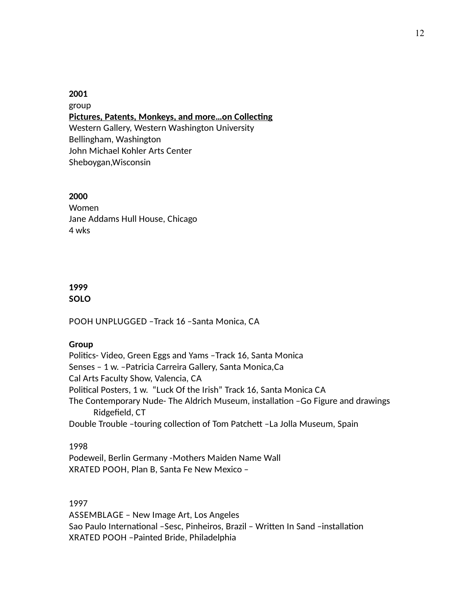#### **2001** group **Pictures, Patents, Monkeys, and more...on Collecting** Western Gallery, Western Washington University Bellingham, Washington John Michael Kohler Arts Center Sheboygan,Wisconsin

#### **2000**

Women Jane Addams Hull House, Chicago 4 wks

#### **1999 SOLO**

POOH UNPLUGGED –Track 16 –Santa Monica, CA

#### **Group**

Politics- Video, Green Eggs and Yams - Track 16, Santa Monica Senses – 1 w. –Patricia Carreira Gallery, Santa Monica,Ca Cal Arts Faculty Show, Valencia, CA Political Posters, 1 w. "Luck Of the Irish" Track 16, Santa Monica CA The Contemporary Nude- The Aldrich Museum, installation - Go Figure and drawings Ridgefield, CT Double Trouble -touring collection of Tom Patchett -La Jolla Museum, Spain

#### 1998

Podeweil, Berlin Germany -Mothers Maiden Name Wall XRATED POOH, Plan B, Santa Fe New Mexico –

1997 ASSEMBLAGE – New Image Art, Los Angeles Sao Paulo International -Sesc, Pinheiros, Brazil - Written In Sand -installation XRATED POOH –Painted Bride, Philadelphia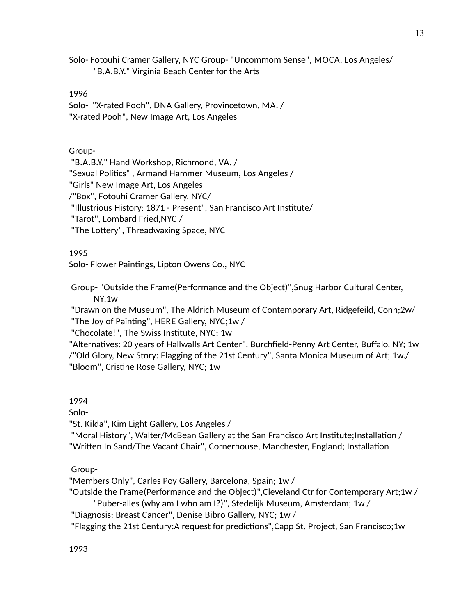Solo- Fotouhi Cramer Gallery, NYC Group- "Uncommom Sense", MOCA, Los Angeles/ "B.A.B.Y." Virginia Beach Center for the Arts

1996

Solo- "X-rated Pooh", DNA Gallery, Provincetown, MA. / "X-rated Pooh", New Image Art, Los Angeles

#### Group-

"B.A.B.Y." Hand Workshop, Richmond, VA. / "Sexual Politcs" , Armand Hammer Museum, Los Angeles / "Girls" New Image Art, Los Angeles /"Box", Fotouhi Cramer Gallery, NYC/ "Illustrious History: 1871 - Present", San Francisco Art Insttute/ "Tarot", Lombard Fried,NYC / "The Lottery", Threadwaxing Space, NYC

#### 1995

Solo- Flower Paintings, Lipton Owens Co., NYC

Group- "Outside the Frame(Performance and the Object)",Snug Harbor Cultural Center, NY;1w

"Drawn on the Museum", The Aldrich Museum of Contemporary Art, Ridgefeild, Conn;2w/ "The Joy of Paintng", HERE Gallery, NYC;1w /

"Chocolate!", The Swiss Institute, NYC; 1w

"Alternatives: 20 years of Hallwalls Art Center", Burchfield-Penny Art Center, Buffalo, NY; 1w /"Old Glory, New Story: Flagging of the 21st Century", Santa Monica Museum of Art; 1w./ "Bloom", Cristine Rose Gallery, NYC; 1w

1994

Solo-

"St. Kilda", Kim Light Gallery, Los Angeles /

"Moral History", Walter/McBean Gallery at the San Francisco Art Institute;Installation / "Written In Sand/The Vacant Chair", Cornerhouse, Manchester, England; Installation

Group-

"Members Only", Carles Poy Gallery, Barcelona, Spain; 1w /

"Outside the Frame(Performance and the Object)",Cleveland Ctr for Contemporary Art;1w /

"Puber-alles (why am I who am I?)", Stedelijk Museum, Amsterdam; 1w /

"Diagnosis: Breast Cancer", Denise Bibro Gallery, NYC; 1w /

"Flagging the 21st Century:A request for predictons",Capp St. Project, San Francisco;1w

13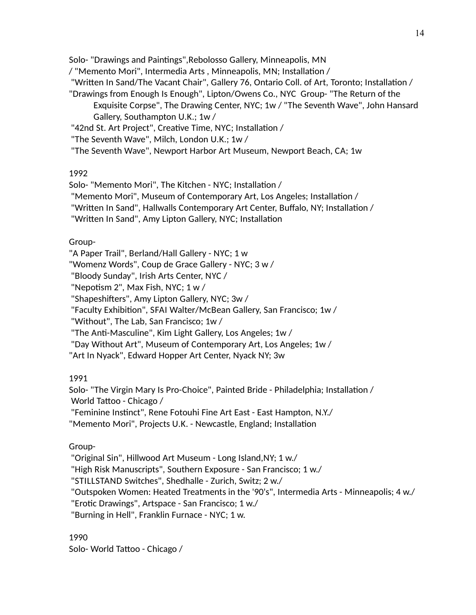Solo- "Drawings and Paintngs",Rebolosso Gallery, Minneapolis, MN

/ "Memento Mori", Intermedia Arts, Minneapolis, MN; Installation /

"Written In Sand/The Vacant Chair", Gallery 76, Ontario Coll. of Art, Toronto; Installation /

"Drawings from Enough Is Enough", Lipton/Owens Co., NYC Group- "The Return of the Exquisite Corpse", The Drawing Center, NYC; 1w / "The Seventh Wave", John Hansard Gallery, Southampton U.K.; 1w /

"42nd St. Art Project", Creative Time, NYC; Installation /

"The Seventh Wave", Milch, London U.K.; 1w /

"The Seventh Wave", Newport Harbor Art Museum, Newport Beach, CA; 1w

#### 1992

Solo- "Memento Mori", The Kitchen - NYC; Installation /

"Memento Mori", Museum of Contemporary Art, Los Angeles; Installation /

"Writen In Sand", Hallwalls Contemporary Art Center, Bufalo, NY; Installaton /

"Written In Sand", Amy Lipton Gallery, NYC; Installation

### Group-

"A Paper Trail", Berland/Hall Gallery - NYC; 1 w "Womenz Words", Coup de Grace Gallery - NYC; 3 w / "Bloody Sunday", Irish Arts Center, NYC / "Nepotism 2", Max Fish, NYC;  $1 w /$ "Shapeshifters", Amy Lipton Gallery, NYC; 3w / "Faculty Exhibiton", SFAI Walter/McBean Gallery, San Francisco; 1w / "Without", The Lab, San Francisco; 1w / "The Anti-Masculine", Kim Light Gallery, Los Angeles; 1w / "Day Without Art", Museum of Contemporary Art, Los Angeles; 1w / "Art In Nyack", Edward Hopper Art Center, Nyack NY; 3w

### 1991

Solo- "The Virgin Mary Is Pro-Choice", Painted Bride - Philadelphia; Installation / World Tatoo - Chicago / "Feminine Instnct", Rene Fotouhi Fine Art East - East Hampton, N.Y./ "Memento Mori", Projects U.K. - Newcastle, England; Installation

### Group-

"Original Sin", Hillwood Art Museum - Long Island,NY; 1 w./ "High Risk Manuscripts", Southern Exposure - San Francisco; 1 w./ "STILLSTAND Switches", Shedhalle - Zurich, Switz; 2 w./ "Outspoken Women: Heated Treatments in the '90's", Intermedia Arts - Minneapolis; 4 w./ "Erotic Drawings", Artspace - San Francisco; 1 w./ "Burning in Hell", Franklin Furnace - NYC; 1 w.

1990

Solo- World Tatoo - Chicago /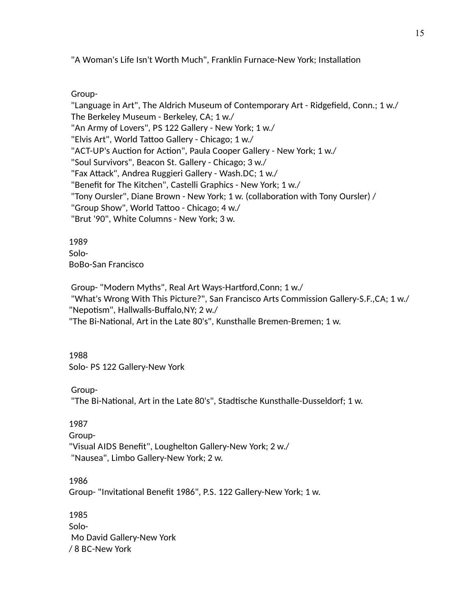"A Woman's Life Isn't Worth Much", Franklin Furnace-New York; Installation

Group-

"Language in Art", The Aldrich Museum of Contemporary Art - Ridgefield, Conn.; 1 w./ The Berkeley Museum - Berkeley, CA; 1 w./ "An Army of Lovers", PS 122 Gallery - New York; 1 w./ "Elvis Art", World Tatoo Gallery - Chicago; 1 w./ "ACT-UP's Auction for Action", Paula Cooper Gallery - New York; 1 w./ "Soul Survivors", Beacon St. Gallery - Chicago; 3 w./ "Fax Attack", Andrea Ruggieri Gallery - Wash.DC; 1 w./ "Benefit for The Kitchen", Castelli Graphics - New York; 1 w./ "Tony Oursler", Diane Brown - New York; 1 w. (collaboration with Tony Oursler) / "Group Show", World Tatoo - Chicago; 4 w./ "Brut '90", White Columns - New York; 3 w.

1989 Solo-BoBo-San Francisco

Group- "Modern Myths", Real Art Ways-Hartford, Conn; 1 w./ "What's Wrong With This Picture?", San Francisco Arts Commission Gallery-S.F.,CA; 1 w./ "Nepotism", Hallwalls-Buffalo,NY; 2 w./ "The Bi-National, Art in the Late 80's", Kunsthalle Bremen-Bremen; 1 w.

1988 Solo- PS 122 Gallery-New York

Group-

"The Bi-National, Art in the Late 80's", Stadtische Kunsthalle-Dusseldorf; 1 w.

1987

Group- "Visual AIDS Beneft", Loughelton Gallery-New York; 2 w./ "Nausea", Limbo Gallery-New York; 2 w.

1986 Group- "Invitational Benefit 1986", P.S. 122 Gallery-New York; 1 w.

1985 Solo-Mo David Gallery-New York / 8 BC-New York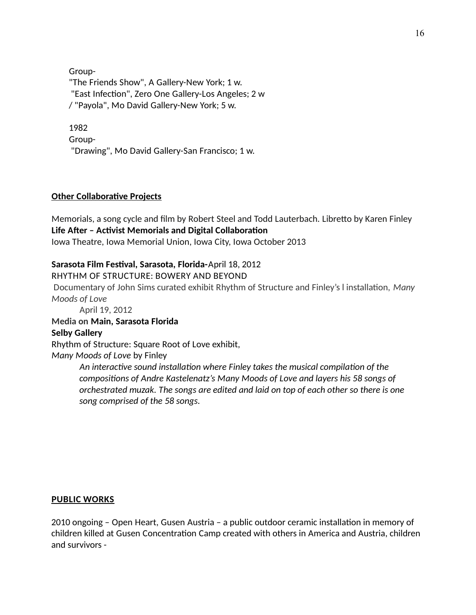Group-

"The Friends Show", A Gallery-New York; 1 w. "East Infection", Zero One Gallery-Los Angeles; 2 w / "Payola", Mo David Gallery-New York; 5 w.

#### 1982

Group-

"Drawing", Mo David Gallery-San Francisco; 1 w.

#### **Other Collaborative Projects**

Memorials, a song cycle and film by Robert Steel and Todd Lauterbach. Libretto by Karen Finley Life After - Activist Memorials and Digital Collaboration Iowa Theatre, Iowa Memorial Union, Iowa City, Iowa October 2013

#### **Sarasota Film Festval, Sarasota, Florida-**April 18, 2012

#### RHYTHM OF STRUCTURE: BOWERY AND BEYOND

Documentary of John Sims curated exhibit Rhythm of Structure and Finley's l installaton, *Many Moods of Love*

April 19, 2012

#### **Media on Main, Sarasota Florida**

#### **Selby Gallery**

Rhythm of Structure: Square Root of Love exhibit,

*Many Moods of Love* by Finley

An interactive sound installation where Finley takes the musical compilation of the *compositons of Andre Kastelenatz's Many Moods of Love and layers his 58 songs of orchestrated muzak. The songs are edited and laid on top of each other so there is one song comprised of the 58 songs.* 

#### **PUBLIC WORKS**

2010 ongoing – Open Heart, Gusen Austria – a public outdoor ceramic installation in memory of children killed at Gusen Concentration Camp created with others in America and Austria, children and survivors -